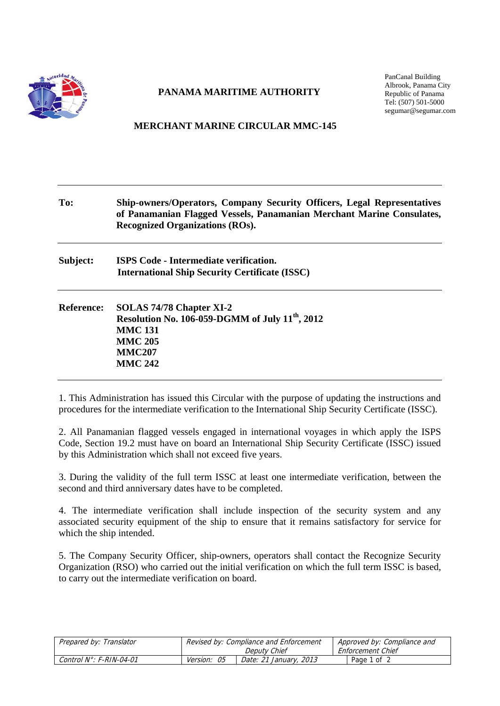

## **PANAMA MARITIME AUTHORITY**

PanCanal Building Albrook, Panama City Republic of Panama Tel: (507) 501-5000 segumar@segumar.com

## **MERCHANT MARINE CIRCULAR MMC-145**

| To:               | <b>Ship-owners/Operators, Company Security Officers, Legal Representatives</b><br>of Panamanian Flagged Vessels, Panamanian Merchant Marine Consulates,<br><b>Recognized Organizations (ROs).</b> |  |  |
|-------------------|---------------------------------------------------------------------------------------------------------------------------------------------------------------------------------------------------|--|--|
| Subject:          | <b>ISPS Code - Intermediate verification.</b><br><b>International Ship Security Certificate (ISSC)</b>                                                                                            |  |  |
| <b>Reference:</b> | SOLAS 74/78 Chapter XI-2<br>Resolution No. 106-059-DGMM of July $11^{th}$ , 2012<br><b>MMC 131</b><br><b>MMC 205</b><br><b>MMC207</b><br><b>MMC 242</b>                                           |  |  |

1. This Administration has issued this Circular with the purpose of updating the instructions and procedures for the intermediate verification to the International Ship Security Certificate (ISSC).

2. All Panamanian flagged vessels engaged in international voyages in which apply the ISPS Code, Section 19.2 must have on board an International Ship Security Certificate (ISSC) issued by this Administration which shall not exceed five years.

3. During the validity of the full term ISSC at least one intermediate verification, between the second and third anniversary dates have to be completed.

4. The intermediate verification shall include inspection of the security system and any associated security equipment of the ship to ensure that it remains satisfactory for service for which the ship intended.

5. The Company Security Officer, ship-owners, operators shall contact the Recognize Security Organization (RSO) who carried out the initial verification on which the full term ISSC is based, to carry out the intermediate verification on board.

| Prepared by: Translator         | Revised by: Compliance and Enforcement |                        | Approved by: Compliance and |  |
|---------------------------------|----------------------------------------|------------------------|-----------------------------|--|
|                                 |                                        | Deputy Chief           | Enforcement Chief           |  |
| Control $N^\circ$ : F-RIN-04-01 | <i>Version: 05</i>                     | Date: 21 January, 2013 | Page 1 of 2                 |  |